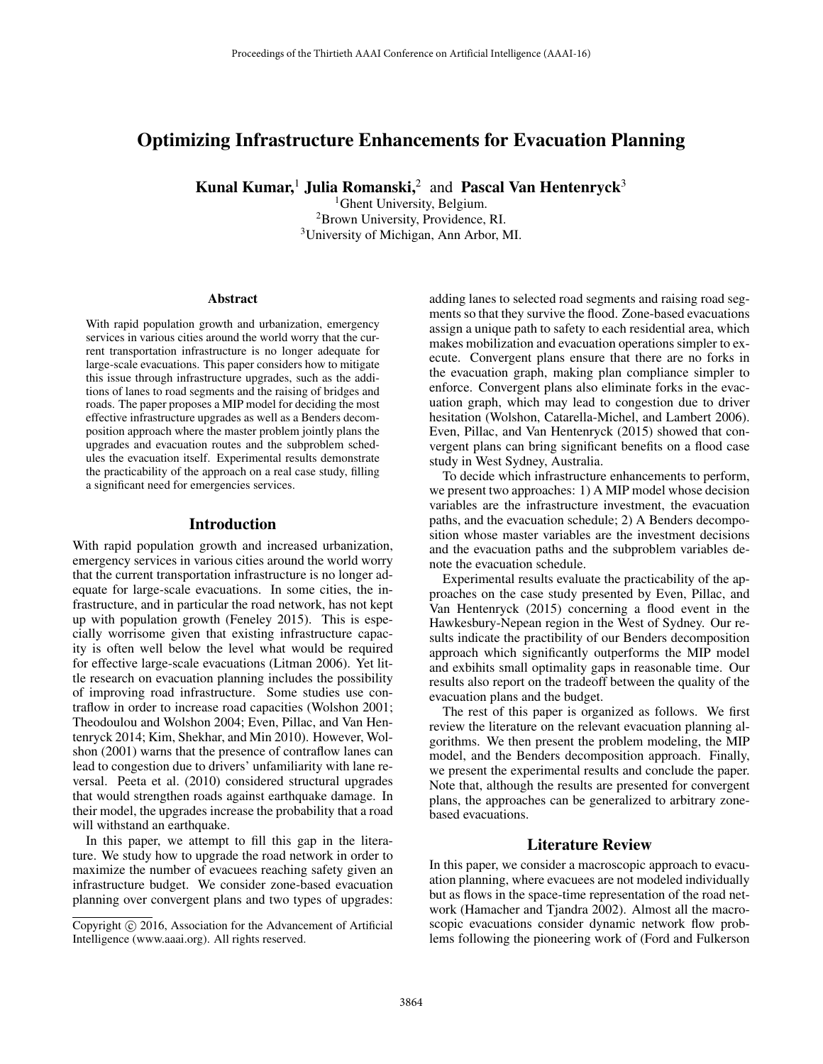# Optimizing Infrastructure Enhancements for Evacuation Planning

Kunal Kumar,<sup>1</sup> Julia Romanski,<sup>2</sup> and Pascal Van Hentenryck<sup>3</sup>

<sup>1</sup>Ghent University, Belgium. 2Brown University, Providence, RI. 3University of Michigan, Ann Arbor, MI.

#### Abstract

With rapid population growth and urbanization, emergency services in various cities around the world worry that the current transportation infrastructure is no longer adequate for large-scale evacuations. This paper considers how to mitigate this issue through infrastructure upgrades, such as the additions of lanes to road segments and the raising of bridges and roads. The paper proposes a MIP model for deciding the most effective infrastructure upgrades as well as a Benders decomposition approach where the master problem jointly plans the upgrades and evacuation routes and the subproblem schedules the evacuation itself. Experimental results demonstrate the practicability of the approach on a real case study, filling a significant need for emergencies services.

## Introduction

With rapid population growth and increased urbanization, emergency services in various cities around the world worry that the current transportation infrastructure is no longer adequate for large-scale evacuations. In some cities, the infrastructure, and in particular the road network, has not kept up with population growth (Feneley 2015). This is especially worrisome given that existing infrastructure capacity is often well below the level what would be required for effective large-scale evacuations (Litman 2006). Yet little research on evacuation planning includes the possibility of improving road infrastructure. Some studies use contraflow in order to increase road capacities (Wolshon 2001; Theodoulou and Wolshon 2004; Even, Pillac, and Van Hentenryck 2014; Kim, Shekhar, and Min 2010). However, Wolshon (2001) warns that the presence of contraflow lanes can lead to congestion due to drivers' unfamiliarity with lane reversal. Peeta et al. (2010) considered structural upgrades that would strengthen roads against earthquake damage. In their model, the upgrades increase the probability that a road will withstand an earthquake.

In this paper, we attempt to fill this gap in the literature. We study how to upgrade the road network in order to maximize the number of evacuees reaching safety given an infrastructure budget. We consider zone-based evacuation planning over convergent plans and two types of upgrades:

adding lanes to selected road segments and raising road segments so that they survive the flood. Zone-based evacuations assign a unique path to safety to each residential area, which makes mobilization and evacuation operations simpler to execute. Convergent plans ensure that there are no forks in the evacuation graph, making plan compliance simpler to enforce. Convergent plans also eliminate forks in the evacuation graph, which may lead to congestion due to driver hesitation (Wolshon, Catarella-Michel, and Lambert 2006). Even, Pillac, and Van Hentenryck (2015) showed that convergent plans can bring significant benefits on a flood case study in West Sydney, Australia.

To decide which infrastructure enhancements to perform, we present two approaches: 1) A MIP model whose decision variables are the infrastructure investment, the evacuation paths, and the evacuation schedule; 2) A Benders decomposition whose master variables are the investment decisions and the evacuation paths and the subproblem variables denote the evacuation schedule.

Experimental results evaluate the practicability of the approaches on the case study presented by Even, Pillac, and Van Hentenryck (2015) concerning a flood event in the Hawkesbury-Nepean region in the West of Sydney. Our results indicate the practibility of our Benders decomposition approach which significantly outperforms the MIP model and exbihits small optimality gaps in reasonable time. Our results also report on the tradeoff between the quality of the evacuation plans and the budget.

The rest of this paper is organized as follows. We first review the literature on the relevant evacuation planning algorithms. We then present the problem modeling, the MIP model, and the Benders decomposition approach. Finally, we present the experimental results and conclude the paper. Note that, although the results are presented for convergent plans, the approaches can be generalized to arbitrary zonebased evacuations.

## Literature Review

In this paper, we consider a macroscopic approach to evacuation planning, where evacuees are not modeled individually but as flows in the space-time representation of the road network (Hamacher and Tjandra 2002). Almost all the macroscopic evacuations consider dynamic network flow problems following the pioneering work of (Ford and Fulkerson

Copyright  $\odot$  2016, Association for the Advancement of Artificial Intelligence (www.aaai.org). All rights reserved.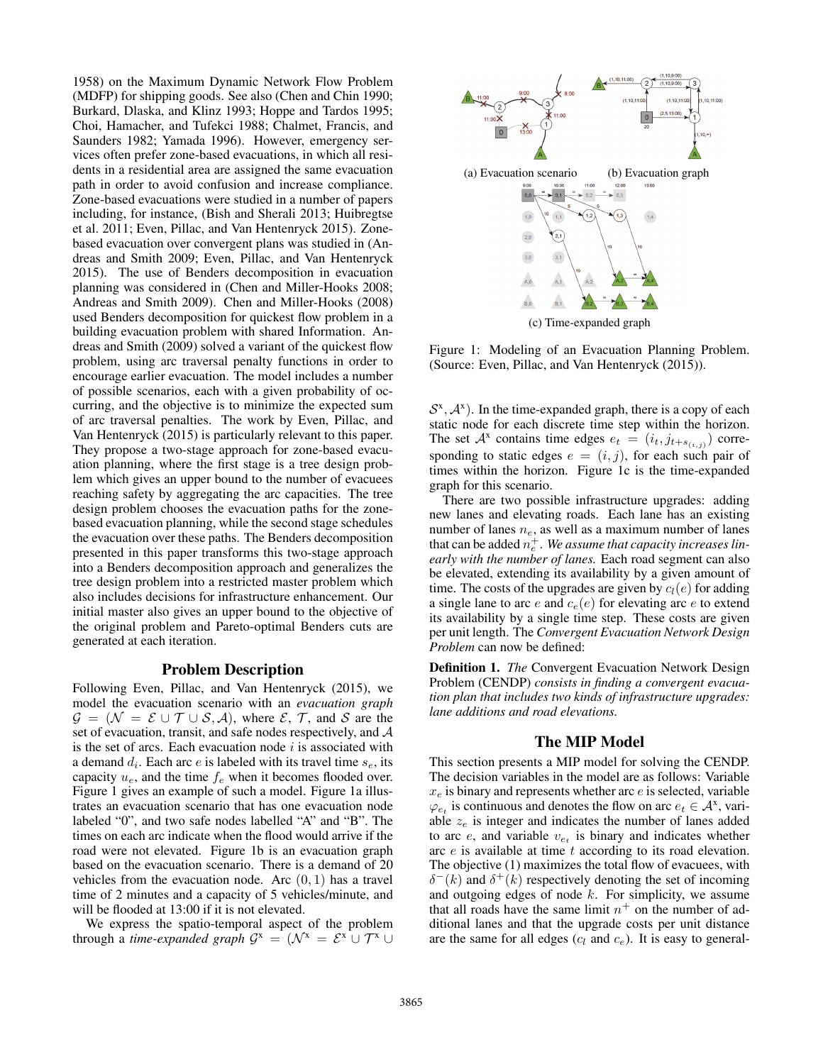1958) on the Maximum Dynamic Network Flow Problem (MDFP) for shipping goods. See also (Chen and Chin 1990; Burkard, Dlaska, and Klinz 1993; Hoppe and Tardos 1995; Choi, Hamacher, and Tufekci 1988; Chalmet, Francis, and Saunders 1982; Yamada 1996). However, emergency services often prefer zone-based evacuations, in which all residents in a residential area are assigned the same evacuation path in order to avoid confusion and increase compliance. Zone-based evacuations were studied in a number of papers including, for instance, (Bish and Sherali 2013; Huibregtse et al. 2011; Even, Pillac, and Van Hentenryck 2015). Zonebased evacuation over convergent plans was studied in (Andreas and Smith 2009; Even, Pillac, and Van Hentenryck 2015). The use of Benders decomposition in evacuation planning was considered in (Chen and Miller-Hooks 2008; Andreas and Smith 2009). Chen and Miller-Hooks (2008) used Benders decomposition for quickest flow problem in a building evacuation problem with shared Information. Andreas and Smith (2009) solved a variant of the quickest flow problem, using arc traversal penalty functions in order to encourage earlier evacuation. The model includes a number of possible scenarios, each with a given probability of occurring, and the objective is to minimize the expected sum of arc traversal penalties. The work by Even, Pillac, and Van Hentenryck (2015) is particularly relevant to this paper. They propose a two-stage approach for zone-based evacuation planning, where the first stage is a tree design problem which gives an upper bound to the number of evacuees reaching safety by aggregating the arc capacities. The tree design problem chooses the evacuation paths for the zonebased evacuation planning, while the second stage schedules the evacuation over these paths. The Benders decomposition presented in this paper transforms this two-stage approach into a Benders decomposition approach and generalizes the tree design problem into a restricted master problem which also includes decisions for infrastructure enhancement. Our initial master also gives an upper bound to the objective of the original problem and Pareto-optimal Benders cuts are generated at each iteration.

#### Problem Description

Following Even, Pillac, and Van Hentenryck (2015), we model the evacuation scenario with an *evacuation graph*  $\mathcal{G} = (\mathcal{N} = \mathcal{E} \cup \mathcal{T} \cup \mathcal{S}, \mathcal{A})$ , where  $\mathcal{E}, \mathcal{T}$ , and  $\mathcal{S}$  are the set of evacuation, transit, and safe nodes respectively, and  $A$ is the set of arcs. Each evacuation node  $i$  is associated with a demand  $d_i$ . Each arc e is labeled with its travel time  $s_e$ , its capacity  $u_e$ , and the time  $f_e$  when it becomes flooded over. Figure 1 gives an example of such a model. Figure 1a illustrates an evacuation scenario that has one evacuation node labeled "0", and two safe nodes labelled "A" and "B". The times on each arc indicate when the flood would arrive if the road were not elevated. Figure 1b is an evacuation graph based on the evacuation scenario. There is a demand of 20 vehicles from the evacuation node. Arc  $(0, 1)$  has a travel time of 2 minutes and a capacity of 5 vehicles/minute, and will be flooded at 13:00 if it is not elevated.

We express the spatio-temporal aspect of the problem through a *time-expanded graph*  $G^x = (N^x = \mathcal{E}^x \cup \mathcal{T}^x \cup$ 



Figure 1: Modeling of an Evacuation Planning Problem. (Source: Even, Pillac, and Van Hentenryck (2015)).

 $S<sup>x</sup>, A<sup>x</sup>$ ). In the time-expanded graph, there is a copy of each static node for each discrete time step within the horizon. The set  $A^x$  contains time edges  $e_t = (i_t, j_{t+s(i,j)})$  corresponding to static edges  $e = (i, j)$ , for each such pair of times within the horizon. Figure 1c is the time-expanded graph for this scenario.

There are two possible infrastructure upgrades: adding new lanes and elevating roads. Each lane has an existing number of lanes  $n_e$ , as well as a maximum number of lanes that can be added  $n_e^+$ . We assume that capacity increases lin*early with the number of lanes.* Each road segment can also be elevated, extending its availability by a given amount of time. The costs of the upgrades are given by  $c_l(e)$  for adding a single lane to arc e and  $c_e(e)$  for elevating arc e to extend its availability by a single time step. These costs are given per unit length. The *Convergent Evacuation Network Design Problem* can now be defined:

Definition 1. *The* Convergent Evacuation Network Design Problem (CENDP) *consists in finding a convergent evacuation plan that includes two kinds of infrastructure upgrades: lane additions and road elevations.*

## The MIP Model

This section presents a MIP model for solving the CENDP. The decision variables in the model are as follows: Variable  $x_e$  is binary and represents whether arc  $e$  is selected, variable  $\varphi_{e_t}$  is continuous and denotes the flow on arc  $e_t \in A^x$ , variable  $z_e$  is integer and indicates the number of lanes added to arc  $e$ , and variable  $v_{e_t}$  is binary and indicates whether arc e is available at time t according to its road elevation. The objective (1) maximizes the total flow of evacuees, with  $\delta^{-}(k)$  and  $\delta^{+}(k)$  respectively denoting the set of incoming and outgoing edges of node  $k$ . For simplicity, we assume that all roads have the same limit  $n^+$  on the number of additional lanes and that the upgrade costs per unit distance are the same for all edges  $(c_l$  and  $c_e$ ). It is easy to general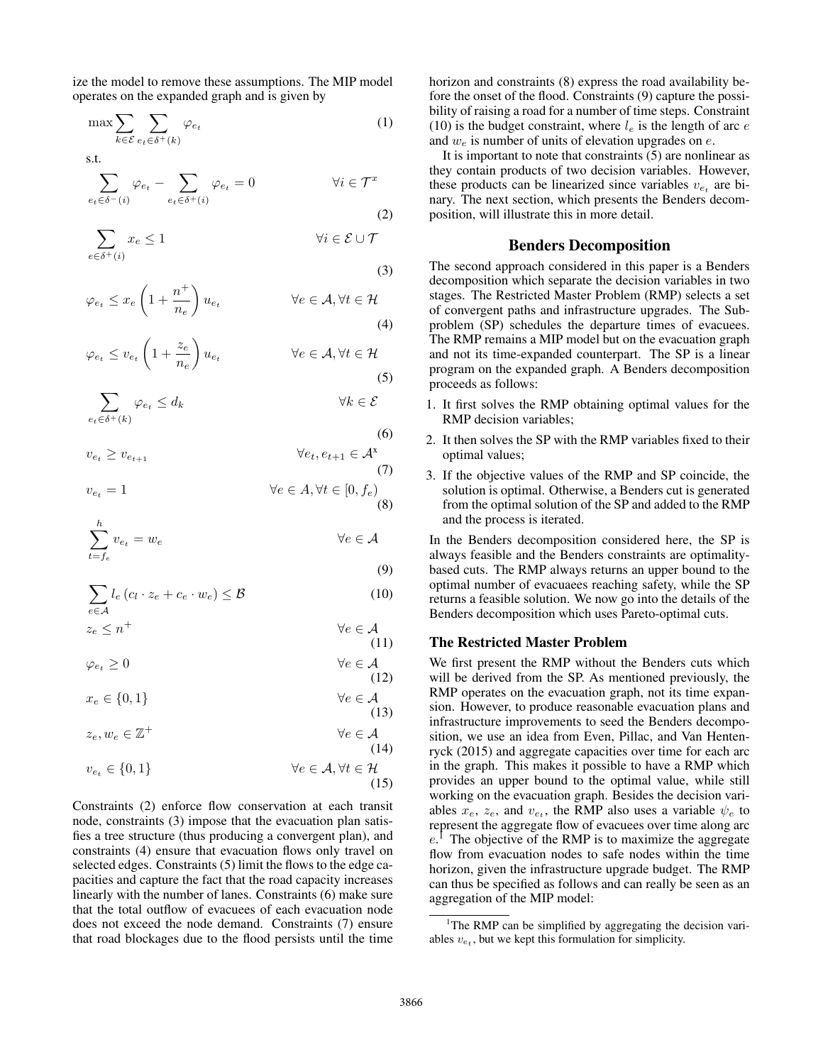ize the model to remove these assumptions. The MIP model operates on the expanded graph and is given by

$$
\max \sum_{k \in \mathcal{E}} \sum_{e_t \in \delta^+(k)} \varphi_{e_t} \tag{1}
$$

s.t.

$$
\sum_{e_t \in \delta^-(i)} \varphi_{e_t} - \sum_{e_t \in \delta^+(i)} \varphi_{e_t} = 0 \qquad \forall i \in \mathcal{T}^x
$$
\n(2)

$$
\sum_{e \in \delta^+(i)} x_e \le 1 \qquad \qquad \forall i \in \mathcal{E} \cup \mathcal{T}
$$

(3)

(6)

(13)

$$
\varphi_{e_t} \le x_e \left( 1 + \frac{n^+}{n_e} \right) u_{e_t} \qquad \forall e \in \mathcal{A}, \forall t \in \mathcal{H}
$$
\n(4)

$$
\varphi_{e_t} \le v_{e_t} \left( 1 + \frac{z_e}{n_e} \right) u_{e_t} \qquad \forall e \in \mathcal{A}, \forall t \in \mathcal{H}
$$
\n(5)

$$
\sum_{e_t \in \delta^+(k)} \varphi_{e_t} \le d_k \qquad \forall k \in \mathcal{E}
$$

 $e_t$ ∈σ $\tau$ (k)

$$
v_{e_t} \ge v_{e_{t+1}} \qquad \forall e_t, e_{t+1} \in \mathcal{A}^{\mathbf{x}} \tag{7}
$$

$$
v_{e_t} = 1 \qquad \qquad \forall e \in A, \forall t \in [0, f_e)
$$
\n
$$
(8)
$$

$$
\sum_{t=f_e}^{h} v_{e_t} = w_e \qquad \forall e \in \mathcal{A}
$$
\n(9)

$$
\sum_{e \in \mathcal{A}} l_e \left( c_l \cdot z_e + c_e \cdot w_e \right) \leq \mathcal{B}
$$
\n(10)

$$
z_e \le n^+ \qquad \qquad \forall e \in \mathcal{A}
$$
\n<sup>(11)</sup>

$$
\varphi_{e_t} \ge 0 \qquad \qquad \forall e \in \mathcal{A}
$$
\n(12)

$$
x_e \in \{0, 1\} \qquad \forall e \in \mathcal{A}
$$

$$
z_e, w_e \in \mathbb{Z}^+ \qquad \qquad \forall e \in \mathcal{A}
$$
\n<sup>(14)</sup>

$$
v_{e_t} \in \{0, 1\} \qquad \forall e \in \mathcal{A}, \forall t \in \mathcal{H}
$$
\n(15)

Constraints (2) enforce flow conservation at each transit node, constraints (3) impose that the evacuation plan satisfies a tree structure (thus producing a convergent plan), and constraints (4) ensure that evacuation flows only travel on selected edges. Constraints (5) limit the flows to the edge capacities and capture the fact that the road capacity increases linearly with the number of lanes. Constraints (6) make sure that the total outflow of evacuees of each evacuation node does not exceed the node demand. Constraints (7) ensure that road blockages due to the flood persists until the time

horizon and constraints (8) express the road availability before the onset of the flood. Constraints (9) capture the possibility of raising a road for a number of time steps. Constraint (10) is the budget constraint, where  $l_e$  is the length of arc  $e$ and  $w_e$  is number of units of elevation upgrades on  $e$ .

It is important to note that constraints (5) are nonlinear as they contain products of two decision variables. However, these products can be linearized since variables  $v_{e_t}$  are binary. The next section, which presents the Benders decomposition, will illustrate this in more detail.

### Benders Decomposition

The second approach considered in this paper is a Benders decomposition which separate the decision variables in two stages. The Restricted Master Problem (RMP) selects a set of convergent paths and infrastructure upgrades. The Subproblem (SP) schedules the departure times of evacuees. The RMP remains a MIP model but on the evacuation graph and not its time-expanded counterpart. The SP is a linear program on the expanded graph. A Benders decomposition proceeds as follows:

- 1. It first solves the RMP obtaining optimal values for the RMP decision variables;
- 2. It then solves the SP with the RMP variables fixed to their optimal values;
- 3. If the objective values of the RMP and SP coincide, the solution is optimal. Otherwise, a Benders cut is generated from the optimal solution of the SP and added to the RMP and the process is iterated.

In the Benders decomposition considered here, the SP is always feasible and the Benders constraints are optimalitybased cuts. The RMP always returns an upper bound to the optimal number of evacuaees reaching safety, while the SP returns a feasible solution. We now go into the details of the Benders decomposition which uses Pareto-optimal cuts.

## The Restricted Master Problem

We first present the RMP without the Benders cuts which will be derived from the SP. As mentioned previously, the RMP operates on the evacuation graph, not its time expansion. However, to produce reasonable evacuation plans and infrastructure improvements to seed the Benders decomposition, we use an idea from Even, Pillac, and Van Hentenryck (2015) and aggregate capacities over time for each arc in the graph. This makes it possible to have a RMP which provides an upper bound to the optimal value, while still working on the evacuation graph. Besides the decision variables  $x_e$ ,  $z_e$ , and  $v_{e<sub>t</sub>}$ , the RMP also uses a variable  $\psi_e$  to represent the aggregate flow of evacuees over time along arc  $e^{\hat{i}}$  The objective of the RMP is to maximize the aggregate flow from evacuation nodes to safe nodes within the time horizon, given the infrastructure upgrade budget. The RMP can thus be specified as follows and can really be seen as an aggregation of the MIP model:

<sup>&</sup>lt;sup>1</sup>The RMP can be simplified by aggregating the decision variables  $v_{e_t}$ , but we kept this formulation for simplicity.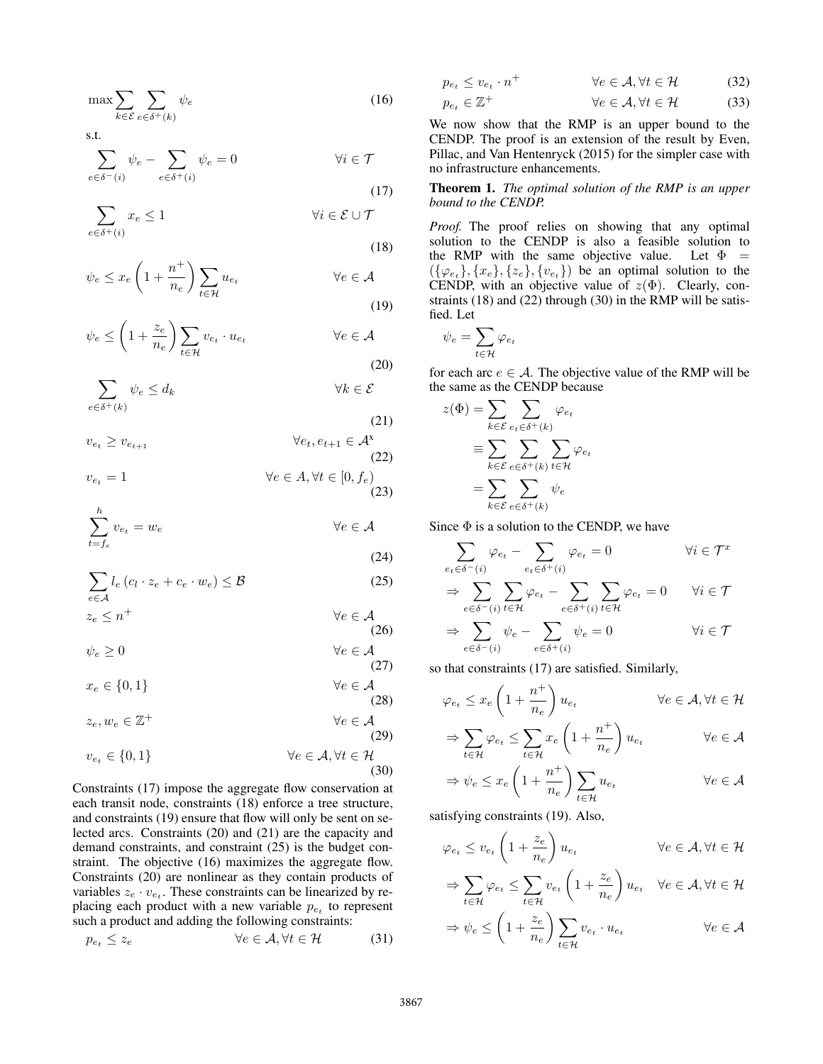$$
\max \sum_{k \in \mathcal{E}} \sum_{e \in \delta^+(k)} \psi_e \tag{16}
$$

s.t.

$$
\sum_{e \in \delta^-(i)} \psi_e - \sum_{e \in \delta^+(i)} \psi_e = 0 \qquad \qquad \forall i \in \mathcal{T}
$$

$$
\sum_{e \in \delta^+(i)} x_e \le 1 \qquad \qquad \forall i \in \mathcal{E} \cup \mathcal{T}
$$

$$
\psi_e \le x_e \left( 1 + \frac{n^+}{n_e} \right) \sum_{t \in \mathcal{H}} u_{e_t} \qquad \forall e \in \mathcal{A}
$$

$$
\psi_e \le \left(1 + \frac{z_e}{n_e}\right) \sum_{t \in \mathcal{H}} v_{e_t} \cdot u_{e_t} \qquad \forall e \in \mathcal{A}
$$
\n(20)

$$
\sum_{e \in \delta^+(k)} \psi_e \le d_k \qquad \qquad \forall k \in \mathcal{E}
$$

(21)  
\n
$$
v_{e_t} \ge v_{e_{t+1}} \qquad \forall e_t, e_{t+1} \in \mathcal{A}^{\mathbf{x}} \tag{22}
$$

$$
v_{e_t} = 1 \qquad \qquad \forall e \in A, \forall t \in [0, f_e)
$$
\n
$$
(23)
$$

$$
\sum_{t=f_e}^{h} v_{e_t} = w_e \qquad \qquad \forall e \in \mathcal{A}
$$

$$
\sum_{e \in \mathcal{A}} l_e \left( c_l \cdot z_e + c_e \cdot w_e \right) \leq \mathcal{B}
$$
\n(25)

$$
z_e \le n^+ \qquad \qquad \forall e \in \mathcal{A}
$$
\n<sup>(26)</sup>

$$
\psi_e \ge 0 \qquad \forall e \in \mathcal{A} \tag{27}
$$

$$
x_e \in \{0, 1\} \qquad \forall e \in \mathcal{A}
$$
\n<sup>(28)</sup>

$$
z_e, w_e \in \mathbb{Z}^+ \qquad \qquad \forall e \in \mathcal{A}
$$
\n<sup>(29)</sup>

$$
v_{e_t} \in \{0, 1\} \qquad \forall e \in \mathcal{A}, \forall t \in \mathcal{H}
$$
\n(30)

Constraints (17) impose the aggregate flow conservation at each transit node, constraints (18) enforce a tree structure, and constraints (19) ensure that flow will only be sent on selected arcs. Constraints (20) and (21) are the capacity and demand constraints, and constraint (25) is the budget constraint. The objective (16) maximizes the aggregate flow. Constraints (20) are nonlinear as they contain products of variables  $z_e \cdot v_{e_t}$ . These constraints can be linearized by replacing each product with a new variable  $p_{e_t}$  to represent such a product and adding the following constraints:

$$
p_{e_t} \le z_e \qquad \qquad \forall e \in \mathcal{A}, \forall t \in \mathcal{H} \tag{31}
$$

$$
p_{e_t} \le v_{e_t} \cdot n^+ \qquad \forall e \in \mathcal{A}, \forall t \in \mathcal{H} \tag{32}
$$

$$
p_{e_t} \in \mathbb{Z}^+ \qquad \qquad \forall e \in \mathcal{A}, \forall t \in \mathcal{H} \tag{33}
$$

We now show that the RMP is an upper bound to the CENDP. The proof is an extension of the result by Even, Pillac, and Van Hentenryck (2015) for the simpler case with no infrastructure enhancements.

#### Theorem 1. *The optimal solution of the RMP is an upper bound to the CENDP.*

*Proof.* The proof relies on showing that any optimal solution to the CENDP is also a feasible solution to the RMP with the same objective value. Let  $\Phi =$  $(\{\varphi_{e_t}\}, \{x_e\}, \{z_e\}, \{v_{e_t}\})$  be an optimal solution to the CENDP, with an objective value of  $z(\Phi)$ . Clearly, constraints (18) and (22) through (30) in the RMP will be satisfied. Let

$$
\psi_e = \sum_{t \in \mathcal{H}} \varphi_{e_t}
$$

(17)

(18)

(19)

(24)

for each arc  $e \in A$ . The objective value of the RMP will be the same as the CENDP because

$$
z(\Phi) = \sum_{k \in \mathcal{E}} \sum_{e_t \in \delta^+(k)} \varphi_{e_t}
$$

$$
\equiv \sum_{k \in \mathcal{E}} \sum_{e \in \delta^+(k)} \sum_{t \in \mathcal{H}} \varphi_{e_t}
$$

$$
= \sum_{k \in \mathcal{E}} \sum_{e \in \delta^+(k)} \psi_e
$$

Since  $\Phi$  is a solution to the CENDP, we have

$$
\sum_{e_t \in \delta^-(i)} \varphi_{e_t} - \sum_{e_t \in \delta^+(i)} \varphi_{e_t} = 0 \qquad \forall i \in \mathcal{T}^x
$$

$$
\Rightarrow \sum_{e \in \delta^-(i)} \sum_{t \in \mathcal{H}} \varphi_{e_t} - \sum_{e \in \delta^+(i)} \sum_{t \in \mathcal{H}} \varphi_{e_t} = 0 \qquad \forall i \in \mathcal{T}
$$

$$
\Rightarrow \sum_{e \in \delta^-(i)} \psi_e - \sum_{e \in \delta^+(i)} \psi_e = 0 \qquad \forall i \in \mathcal{T}
$$

so that constraints (17) are satisfied. Similarly,

$$
\varphi_{e_t} \le x_e \left( 1 + \frac{n^+}{n_e} \right) u_{e_t} \qquad \qquad \forall e \in \mathcal{A}, \forall t \in \mathcal{H}
$$

$$
\Rightarrow \sum_{t \in \mathcal{H}} \varphi_{e_t} \le \sum_{t \in \mathcal{H}} x_e \left( 1 + \frac{n^+}{n_e} \right) u_{e_t} \qquad \forall e \in \mathcal{A}
$$

$$
\Rightarrow \psi_e \le x_e \left( 1 + \frac{n^+}{n_e} \right) \sum_{t \in \mathcal{H}} u_{e_t} \qquad \forall e \in \mathcal{A}
$$

satisfying constraints (19). Also,

$$
\varphi_{e_t} \le v_{e_t} \left( 1 + \frac{z_e}{n_e} \right) u_{e_t} \qquad \qquad \forall e \in \mathcal{A}, \forall t \in \mathcal{H}
$$

$$
\Rightarrow \sum_{t\in\mathcal{H}}\varphi_{e_t}\leq \sum_{t\in\mathcal{H}}v_{e_t}\left(1+\frac{z_e}{n_e}\right)u_{e_t} \quad \forall e\in\mathcal{A}, \forall t\in\mathcal{H}
$$

$$
\Rightarrow \psi_e \le \left(1 + \frac{z_e}{n_e}\right) \sum_{t \in \mathcal{H}} v_{e_t} \cdot u_{e_t} \qquad \qquad \forall e \in \mathcal{A}
$$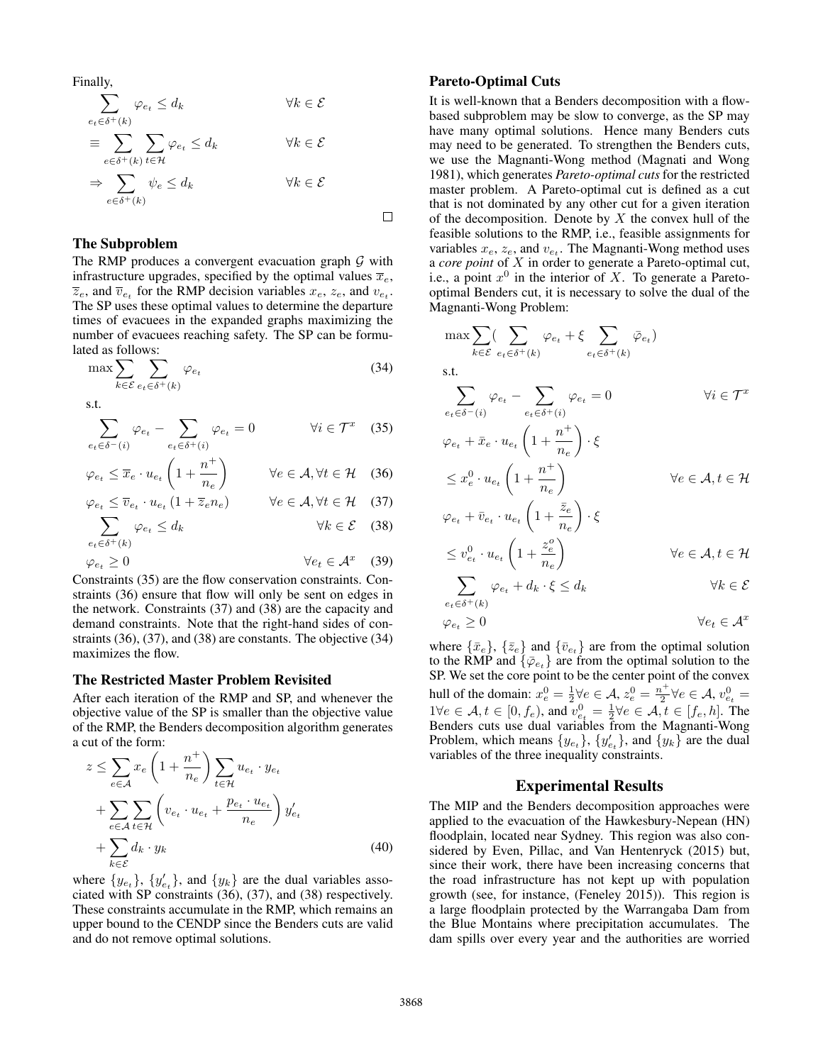Finally,

$$
\sum_{e_t \in \delta^+(k)} \varphi_{e_t} \le d_k \qquad \forall k \in \mathcal{E}
$$
\n
$$
\equiv \sum_{e \in \delta^+(k)} \sum_{t \in \mathcal{H}} \varphi_{e_t} \le d_k \qquad \forall k \in \mathcal{E}
$$
\n
$$
\Rightarrow \sum_{e \in \delta^+(k)} \psi_e \le d_k \qquad \forall k \in \mathcal{E}
$$

# The Subproblem

The RMP produces a convergent evacuation graph  $\mathcal G$  with infrastructure upgrades, specified by the optimal values  $\overline{x}_e$ ,  $\overline{z}_e$ , and  $\overline{v}_{e_t}$  for the RMP decision variables  $x_e$ ,  $z_e$ , and  $v_{e_t}$ . The SP uses these optimal values to determine the departure times of evacuees in the expanded graphs maximizing the number of evacuees reaching safety. The SP can be formulated as follows:

$$
\max \sum_{k \in \mathcal{E}} \sum_{e_t \in \delta^+(k)} \varphi_{e_t} \tag{34}
$$

s.t.

$$
\sum_{e_t \in \delta^-(i)} \varphi_{e_t} - \sum_{e_t \in \delta^+(i)} \varphi_{e_t} = 0 \qquad \forall i \in \mathcal{T}^x \quad (35)
$$

$$
\varphi_{e_t} \le \overline{x}_e \cdot u_{e_t} \left( 1 + \frac{n^+}{n_e} \right) \qquad \forall e \in \mathcal{A}, \forall t \in \mathcal{H} \quad (36)
$$

$$
\varphi_{e_t} \leq \overline{v}_{e_t} \cdot u_{e_t} \left( 1 + \overline{z}_e n_e \right) \qquad \forall e \in \mathcal{A}, \forall t \in \mathcal{H} \quad (37)
$$

$$
\sum_{e_t \in \delta^+(k)} \varphi_{e_t} \le d_k \qquad \qquad \forall k \in \mathcal{E} \quad (38)
$$

$$
\varphi_{e_t} \ge 0 \qquad \qquad \forall e_t \in \mathcal{A}^x \quad (39)
$$

Constraints (35) are the flow conservation constraints. Constraints (36) ensure that flow will only be sent on edges in the network. Constraints (37) and (38) are the capacity and demand constraints. Note that the right-hand sides of constraints (36), (37), and (38) are constants. The objective (34) maximizes the flow.

#### The Restricted Master Problem Revisited

After each iteration of the RMP and SP, and whenever the objective value of the SP is smaller than the objective value of the RMP, the Benders decomposition algorithm generates a cut of the form:

$$
z \leq \sum_{e \in \mathcal{A}} x_e \left( 1 + \frac{n^+}{n_e} \right) \sum_{t \in \mathcal{H}} u_{e_t} \cdot y_{e_t}
$$
  
+ 
$$
\sum_{e \in \mathcal{A}} \sum_{t \in \mathcal{H}} \left( v_{e_t} \cdot u_{e_t} + \frac{p_{e_t} \cdot u_{e_t}}{n_e} \right) y'_{e_t}
$$
  
+ 
$$
\sum_{k \in \mathcal{E}} d_k \cdot y_k
$$
 (40)

where  $\{y_{e_t}\}, \{y'_{e_t}\},$  and  $\{y_k\}$  are the dual variables associated with SP constraints (36), (37), and (38) respectively. These constraints accumulate in the RMP, which remains an upper bound to the CENDP since the Benders cuts are valid and do not remove optimal solutions.

### Pareto-Optimal Cuts

It is well-known that a Benders decomposition with a flowbased subproblem may be slow to converge, as the SP may have many optimal solutions. Hence many Benders cuts may need to be generated. To strengthen the Benders cuts, we use the Magnanti-Wong method (Magnati and Wong 1981), which generates *Pareto-optimal cuts* for the restricted master problem. A Pareto-optimal cut is defined as a cut that is not dominated by any other cut for a given iteration of the decomposition. Denote by  $X$  the convex hull of the feasible solutions to the RMP, i.e., feasible assignments for variables  $x_e$ ,  $z_e$ , and  $v_{e_t}$ . The Magnanti-Wong method uses a *core point* of X in order to generate a Pareto-optimal cut, i.e., a point  $x^0$  in the interior of X. To generate a Paretooptimal Benders cut, it is necessary to solve the dual of the Magnanti-Wong Problem:

$$
\max \sum_{k \in \mathcal{E}} (\sum_{e_t \in \delta^+(k)} \varphi_{e_t} + \xi \sum_{e_t \in \delta^+(k)} \bar{\varphi}_{e_t})
$$
\ns.t.  
\n
$$
\sum_{e_t \in \delta^-(i)} \varphi_{e_t} - \sum_{e_t \in \delta^+(i)} \varphi_{e_t} = 0 \qquad \forall i \in \mathcal{T}^x
$$
\n
$$
\varphi_{e_t} + \bar{x}_e \cdot u_{e_t} \left( 1 + \frac{n^+}{n_e} \right) \cdot \xi
$$
\n
$$
\leq x_e^0 \cdot u_{e_t} \left( 1 + \frac{n^+}{n_e} \right) \qquad \forall e \in \mathcal{A}, t \in \mathcal{H}
$$
\n
$$
\varphi_{e_t} + \bar{v}_{e_t} \cdot u_{e_t} \left( 1 + \frac{\bar{z}_e}{n_e} \right) \cdot \xi
$$
\n
$$
\leq v_{e_t}^0 \cdot u_{e_t} \left( 1 + \frac{z_e^e}{n_e} \right) \qquad \forall e \in \mathcal{A}, t \in \mathcal{H}
$$
\n
$$
\sum_{e \in \mathcal{E}} \left( 1 + \frac{z_e}{n_e} \right) \qquad \forall e \in \mathcal{H}, t \in \mathcal{H}
$$

$$
\sum_{e_t \in \delta^+(k)} \varphi_{e_t} + d_k \cdot \xi \le d_k \qquad \forall k \in \mathcal{E}
$$

$$
\varphi_{e_t} \geq 0 \qquad \qquad \forall e_t \in \mathcal{A}^x
$$

where  $\{\bar{x}_e\}$ ,  $\{\bar{z}_e\}$  and  $\{\bar{v}_{e_t}\}$  are from the optimal solution to the RMP and  $\{\bar{\varphi}_{e_t}\}$  are from the optimal solution to the SP. We set the core point to be the center point of the convex hull of the domain:  $x_e^0 = \frac{1}{2} \forall e \in \mathcal{A}$ ,  $z_e^0 = \frac{n^+}{2} \forall e \in \mathcal{A}$ ,  $v_{e_t}^0 =$  $1 \forall e \in \mathcal{A}, t \in [0, f_e)$ , and  $v_{e_t}^0 = \frac{1}{2} \forall e \in \mathcal{A}, t \in [f_e, h]$ . The Benders cuts use dual variables from the Magnanti-Wong Problem, which means  $\{y_{e_t}\}\$ ,  $\{y'_{e_t}\}\$ , and  $\{y_k\}$  are the dual variables of the three inequality constraints.

#### Experimental Results

The MIP and the Benders decomposition approaches were applied to the evacuation of the Hawkesbury-Nepean (HN) floodplain, located near Sydney. This region was also considered by Even, Pillac, and Van Hentenryck (2015) but, since their work, there have been increasing concerns that the road infrastructure has not kept up with population growth (see, for instance, (Feneley 2015)). This region is a large floodplain protected by the Warrangaba Dam from the Blue Montains where precipitation accumulates. The dam spills over every year and the authorities are worried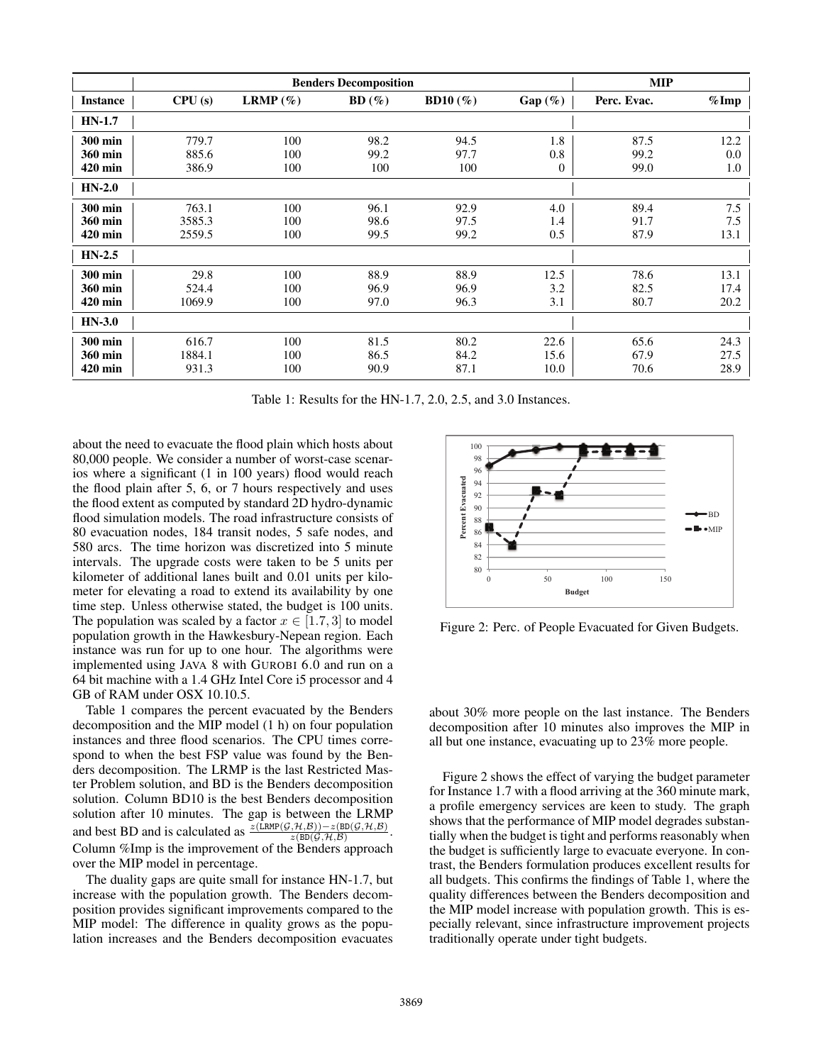|                 | <b>Benders Decomposition</b> |             |       |             |                | <b>MIP</b>  |         |
|-----------------|------------------------------|-------------|-------|-------------|----------------|-------------|---------|
| <b>Instance</b> | CPU(s)                       | LRMP $(\%)$ | BD(%) | BD10 $(\%)$ | $Gap(\%)$      | Perc. Evac. | $%$ Imp |
| $HN-1.7$        |                              |             |       |             |                |             |         |
| 300 min         | 779.7                        | 100         | 98.2  | 94.5        | 1.8            | 87.5        | 12.2    |
| 360 min         | 885.6                        | 100         | 99.2  | 97.7        | 0.8            | 99.2        | 0.0     |
| 420 min         | 386.9                        | 100         | 100   | 100         | $\overline{0}$ | 99.0        | 1.0     |
| $HN-2.0$        |                              |             |       |             |                |             |         |
| 300 min         | 763.1                        | 100         | 96.1  | 92.9        | 4.0            | 89.4        | 7.5     |
| 360 min         | 3585.3                       | 100         | 98.6  | 97.5        | 1.4            | 91.7        | 7.5     |
| $420$ min       | 2559.5                       | 100         | 99.5  | 99.2        | 0.5            | 87.9        | 13.1    |
| $HN-2.5$        |                              |             |       |             |                |             |         |
| 300 min         | 29.8                         | 100         | 88.9  | 88.9        | 12.5           | 78.6        | 13.1    |
| 360 min         | 524.4                        | 100         | 96.9  | 96.9        | 3.2            | 82.5        | 17.4    |
| 420 min         | 1069.9                       | 100         | 97.0  | 96.3        | 3.1            | 80.7        | 20.2    |
| $HN-3.0$        |                              |             |       |             |                |             |         |
| 300 min         | 616.7                        | 100         | 81.5  | 80.2        | 22.6           | 65.6        | 24.3    |
| 360 min         | 1884.1                       | 100         | 86.5  | 84.2        | 15.6           | 67.9        | 27.5    |
| 420 min         | 931.3                        | 100         | 90.9  | 87.1        | 10.0           | 70.6        | 28.9    |

Table 1: Results for the HN-1.7, 2.0, 2.5, and 3.0 Instances.

about the need to evacuate the flood plain which hosts about 80,000 people. We consider a number of worst-case scenarios where a significant (1 in 100 years) flood would reach the flood plain after 5, 6, or 7 hours respectively and uses the flood extent as computed by standard 2D hydro-dynamic flood simulation models. The road infrastructure consists of 80 evacuation nodes, 184 transit nodes, 5 safe nodes, and 580 arcs. The time horizon was discretized into 5 minute intervals. The upgrade costs were taken to be 5 units per kilometer of additional lanes built and 0.01 units per kilometer for elevating a road to extend its availability by one time step. Unless otherwise stated, the budget is 100 units. The population was scaled by a factor  $x \in [1.7, 3]$  to model population growth in the Hawkesbury-Nepean region. Each instance was run for up to one hour. The algorithms were implemented using JAVA 8 with GUROBI 6.0 and run on a 64 bit machine with a 1.4 GHz Intel Core i5 processor and 4 GB of RAM under OSX 10.10.5.

Table 1 compares the percent evacuated by the Benders decomposition and the MIP model (1 h) on four population instances and three flood scenarios. The CPU times correspond to when the best FSP value was found by the Benders decomposition. The LRMP is the last Restricted Master Problem solution, and BD is the Benders decomposition solution. Column BD10 is the best Benders decomposition solution after 10 minutes. The gap is between the LRMP and best BD and is calculated as  $\frac{\partial (\text{LRMP}(\mathcal{G}, \mathcal{H}, \mathcal{B})) - z(\text{BD}(\mathcal{G}, \mathcal{H}, \mathcal{B})}{z(\text{BD}(\mathcal{G}, \mathcal{H}, \mathcal{B}))}$ . Column %Imp is the improvement of the Benders approach over the MIP model in percentage.

The duality gaps are quite small for instance HN-1.7, but increase with the population growth. The Benders decomposition provides significant improvements compared to the MIP model: The difference in quality grows as the population increases and the Benders decomposition evacuates



Figure 2: Perc. of People Evacuated for Given Budgets.

about 30% more people on the last instance. The Benders decomposition after 10 minutes also improves the MIP in all but one instance, evacuating up to 23% more people.

Figure 2 shows the effect of varying the budget parameter for Instance 1.7 with a flood arriving at the 360 minute mark, a profile emergency services are keen to study. The graph shows that the performance of MIP model degrades substantially when the budget is tight and performs reasonably when the budget is sufficiently large to evacuate everyone. In contrast, the Benders formulation produces excellent results for all budgets. This confirms the findings of Table 1, where the quality differences between the Benders decomposition and the MIP model increase with population growth. This is especially relevant, since infrastructure improvement projects traditionally operate under tight budgets.